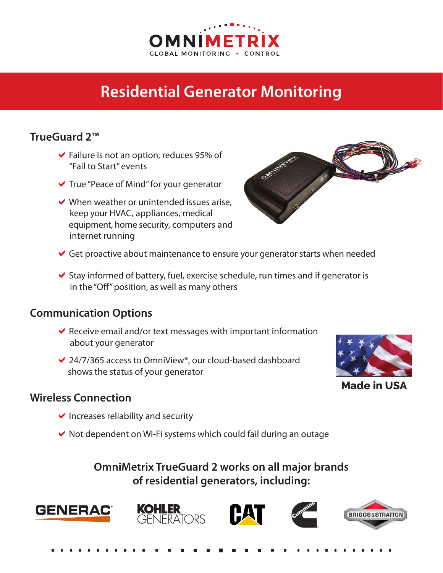

## **Residential Generator Monitoring**

## **TrueGuard 2™**

- $\blacktriangleright$  Failure is not an option, reduces 95% of "Fail to Start" events
- $\vee$  True "Peace of Mind" for your generator
- $\vee$  When weather or unintended issues arise, keep your HVAC, appliances, medical equipment, home security, computers and internet running



- Get proactive about maintenance to ensure your generator starts when needed
- $\blacktriangleright$  Stay informed of battery, fuel, exercise schedule, run times and if generator is in the "Off" position, as well as many others

## **Communication Options**

- Receive email and/or text messages with important information about your generator
- $✓ 24/7/365$  access to OmniView®, our cloud-based dashboard shows the status of your generator



**Made in USA**

## **Wireless Connection**

- $\vee$  Increases reliability and security
- $\vee$  Not dependent on Wi-Fi systems which could fail during an outage

**OmniMetrix TrueGuard 2 works on all major brands of residential generators, including:**